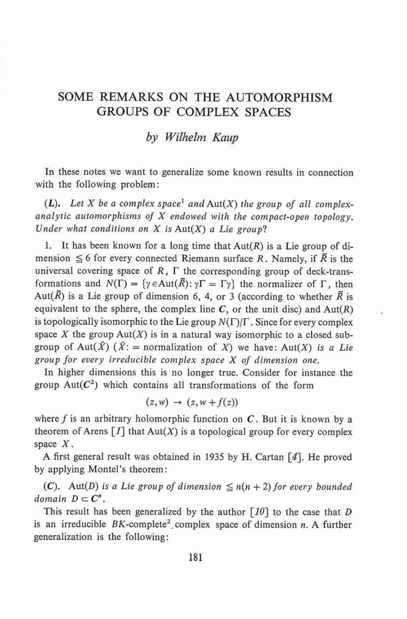## SOME REMARKS ON THE AUTOMORPHISM GROUPS OF COMPLEX SPACES

## *by Wilhelm Kaup*

In these notes we want to generalize some known results in connection with the following problem :

 $(L)$ . Let X be a complex space<sup>1</sup> and  $Aut(X)$  the group of all complexanalytic automorphisms of *X* endowed with the compact-open topology. *Under what conditions on X is* Aut(X) *a Lie group?* 

1. It has been known for a long time that  $Aut(R)$  is a Lie group of dimension  $\leq 6$  for every connected Riemann surface R. Namely, if  $\overline{R}$  is the universal covering space of  $R$ ,  $\Gamma$  the corresponding group of deck-transformations and  $N(\Gamma) = \{ \gamma \in \text{Aut}(\overline{R}) : \gamma \Gamma = \Gamma \gamma \}$  the normalizer of  $\Gamma$ , then Aut( $\overline{R}$ ) is a Lie group of dimension 6, 4, or 3 (according to whether  $\overline{R}$  is equivalent to the sphere, the complex line  $C$ , or the unit disc) and  $Aut(R)$ is topologically isomorphic to the Lie group  $N(\Gamma)/\Gamma$ . Since for every complex space  $X$  the group  $Aut(X)$  is in a natural way isomorphic to a closed subgroup of Aut( $\hat{X}$ ) ( $\hat{X}$ : = normalization of X) we have: Aut(X) *is a Lie group for every irreducible conzplex space* X *of dimension one.* 

In higher dimensions this is no longer true. Consider for instance the group  $Aut(C^2)$  which contains all transformations of the form

$$
(z, w) \rightarrow (z, w + f(z))
$$

where *f* is an arbitrary holomorphic function on *C.* But it is known by a theorem of Arens  $[I]$  that  $Aut(X)$  is a topological group for every complex space X.<br>A first general result was obtained in 1935 by H. Cartan  $\lceil 4 \rceil$ . He proved

by applying Montel's theorem :

(C). Aut(D) is a Lie group of dimension  $\leq n(n + 2)$  for every bounded *domain*  $D \subset C^n$ .

This result has been generalized by the author  $\lceil 10 \rceil$  to the case that D is an irreducible BK-complete<sup>2</sup> complex space of dimension *n*. A further generalization is the following: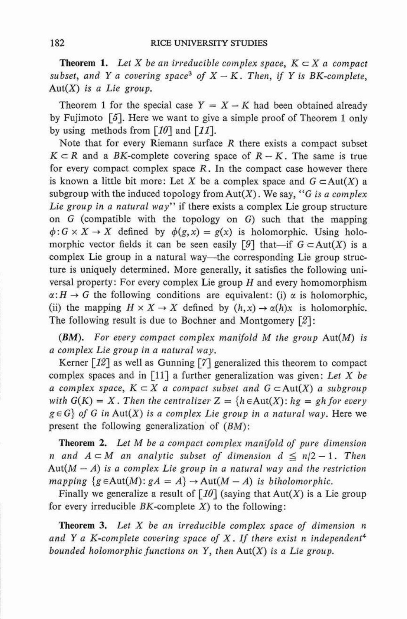**Theorem 1.** Let X be an irreducible complex space,  $K \subset X$  a compact *subset, and Y a covering space<sup>3</sup> of*  $X - K$ *. Then, if Y is BK-complete,* Aut(X) *is a Lie group.* 

Theorem 1 for the special case  $Y = X - K$  had been obtained already by Fujimoto *[5].* Here we want to give a simple proof of Theorem **1** only by using methods from  $\lceil 10 \rceil$  and  $\lceil 11 \rceil$ .

Note that for every Riemann surface  $R$  there exists a compact subset  $K \subset R$  and a BK-complete covering space of  $R - K$ . The same is true for every compact complex space  $R$ . In the compact case however there is known a little bit more: Let X be a complex space and  $G \subset Aut(X)$  a subgroup with the induced topology from  $Aut(X)$ . We say, "G is a complex *Lie group in a natural way"* if there exists a complex Lie group structure on G (compatible with the topology on G) such that the mapping  $\phi: G \times X \to X$  defined by  $\phi(g, x) = g(x)$  is holomorphic. Using holomorphic vector fields it can be seen easily [9] that-if  $G \subset Aut(X)$  is a complex Lie group in a natural way-the corresponding Lie group structure is uniquely determined. More generally, it satisfies the following universal property: For every complex Lie group  $H$  and every homomorphism  $\alpha: H \to G$  the following conditions are equivalent: (i)  $\alpha$  is holomorphic, (ii) the mapping  $H \times X \to X$  defined by  $(h, x) \to \alpha(h)x$  is holomorphic. The following result is due to Bochner and Montgomery [Z]:

*(BM). For every compact complex nzanifold* M *the group* Aut(M) *is a complex Lie group in a natural way.* 

Kerner *[I21* as well as Gunning **[7]** generalized this theorem to compact complex spaces and in [Ill a further generalization was given: *Let* X *be a complex space,*  $K \subset X$  *a compact subset and*  $G \subset Aut(X)$  *a subgroup with*  $G(K) = X$ . Then the centralizer  $Z = \{h \in Aut(X) : hg = gh$  for every  $g \in G$  *of G in Aut(X) is a complex Lie group in a natural way. Here we* present the following generalization of (BM):

**Theorem 2.** *Let* M *be a compact complex manifold of pure dimension n* and  $A \subset M$  an analytic subset of dimension  $d \leq n/2 - 1$ . Then  $Aut(M - A)$  *is a complex Lie group in a natural way and the restriction mapping*  ${g \in Aut(M) : gA = A} \rightarrow Aut(M - A)$  *is biholomorphic.* 

Finally we generalize a result of  $\lceil 10 \rceil$  (saying that Aut(X) is a Lie group for every irreducible  $BK$ -complete  $X$ ) to the following:

**Theorem 3.** *Let* X *be an irreducible complex space of dimension n and Y a K-complete covering space of* X. *If there exist n independent4 bounded holomorphic junctions on Y, then* Aut(X) *is a Lie group.*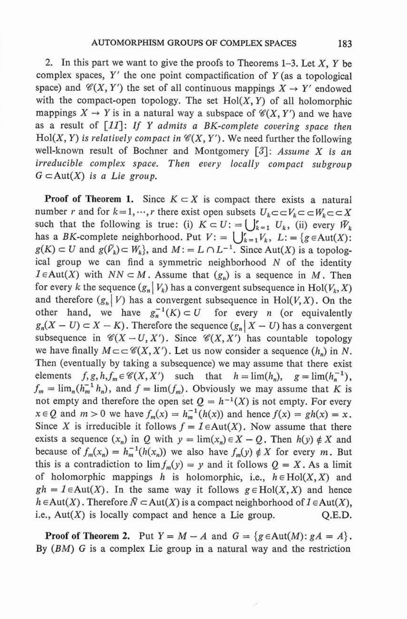2. In this part we want to give the proofs to Theorems  $1-3$ . Let X, Y be complex spaces,  $Y'$  the one point compactification of  $Y$  (as a topological space) and  $\mathcal{C}(X, Y')$  the set of all continuous mappings  $X \to Y'$  endowed with the compact-open topology. The set  $Hol(X, Y)$  of all holomorphic mappings  $X \to Y$  is in a natural way a subspace of  $\mathcal{C}(X, Y')$  and we have as a result of *[II]*: If *Y* admits a BK-complete covering space then Hol(X, Y) is relatively compact in  $\mathcal{C}(X, Y')$ . We need further the following well-known result of Bochner and Montgomery [3]: Assume X is an irreducible complex space. Then every locally compact subgroup  $G \subset Aut(X)$  is a Lie group.

**Proof of Theorem 1.** Since  $K \subset X$  is compact there exists a natural number *r* and for  $k = 1, \dots, r$  there exist open subsets  $U_k \subset \subset V_k \subset \subset W_k \subset \subset X$ such that the following is true: (i)  $K \subset U$ : =  $\bigcup_{k=1}^{r} U_k$ , (ii) every  $\bar{W}_k$ has a BK-complete neighborhood. Put  $V: = \bigcup_{k=1}^{r} V_k$ ,  $L: = \{g \in Aut(X):$  $g(K) \subset U$  and  $g(\tilde{V}_k) \subset W_k$ , and  $M := L \cap L^{-1}$ . Since Aut(X) is a topological group we can find a symmetric neighborhood  $N$  of the identity  $I \in Aut(X)$  with  $NN \subset M$ . Assume that  $(g_n)$  is a sequence in M. Then for every k the sequence  $(g_n | V_k)$  has a convergent subsequence in Hol( $V_k$ , X) and therefore  $(g_n | V)$  has a convergent subsequence in Hol(V, X). On the other hand, we have  $g_n^{-1}(K) \subset U$  for every *n* (or equivalently  $g_n(X - U) \subset X - K$ ). Therefore the sequence  $(g_n | X - U)$  has a convergent subsequence in  $\mathcal{C}(X - U, X')$ . Since  $\mathcal{C}(X, X')$  has countable topology we have finally  $M \subset \subset \mathcal{C}(X, X')$ . Let us now consider a sequence  $(h_n)$  in N. Then (eventually by taking a subsequence) we may assume that there exist elements  $f, g, h, f_m \in \mathcal{C}(X, X')$  such that  $h = \lim(h_n), g = \lim(h_n^{-1}),$  $f_m = \lim_n (h_m^{-1} h_n)$ , and  $f = \lim(f_m)$ . Obviously we may assume that K is not empty and therefore the open set  $Q = h^{-1}(X)$  is not empty. For every  $x \in Q$  and  $m > 0$  we have  $f_m(x) = h_m^{-1}(h(x))$  and hence  $f(x) = gh(x) = x$ . Since X is irreducible it follows  $f = I \in Aut(X)$ . Now assume that there exists a sequence  $(x_n)$  in Q with  $y = \lim(x_n) \in X - Q$ . Then  $h(y) \notin X$  and because of  $f_m(x_n) = h_m^{-1}(h(x_n))$  we also have  $f_m(y) \notin X$  for every m. But this is a contradiction to  $\lim f_m(y) = y$  and it follows  $Q = X$ . As a limit of holomorphic mappings h is holomorphic, i.e.,  $h \in Hol(X, X)$  and  $gh = I \in Aut(X)$ . In the same way it follows  $g \in Hol(X, X)$  and hence  $h \in Aut(X)$ . Therefore  $\overline{N} \subset Aut(X)$  is a compact neighborhood of  $1 \in Aut(X)$ , i.e.,  $Aut(X)$  is locally compact and hence a Lie group.  $Q.E.D.$ 

**Proof of Theorem 2.** Put  $Y = M - A$  and  $G = \{g \in Aut(M) : gA = A\}.$ By (BM) G is a complex Lie group in a natural way and the restriction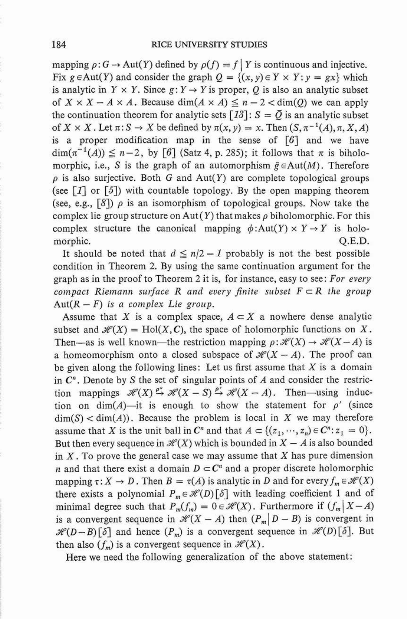mapping  $\rho: G \to \text{Aut}(Y)$  defined by  $\rho(f) = f | Y$  is continuous and injective. Fix  $g \in Aut(Y)$  and consider the graph  $Q = \{(x, y) \in Y \times Y : y = gx\}$  which is analytic in  $Y \times Y$ . Since  $g: Y \rightarrow Y$  is proper, Q is also an analytic subset of  $X \times X - A \times A$ . Because dim( $A \times A$ )  $\leq n - 2 <$  dim(Q) we can apply the continuation theorem for analytic sets  $[13]$ :  $S = \overline{Q}$  is an analytic subset of  $X \times X$ . Let  $\pi: S \to X$  be defined by  $\pi(x, y) = x$ . Then  $(S, \pi^{-1}(A), \pi, X, A)$ is a proper modification map in the sense of  $\lceil 6 \rceil$  and we have  $\dim(\pi^{-1}(A)) \leq n-2$ , by [6] (Satz 4, p. 285); it follows that  $\pi$  is biholomorphic, i.e., S is the graph of an automorphism  $\tilde{g} \in Aut(M)$ . Therefore  $\rho$  is also surjective. Both G and Aut(Y) are complete topological groups (see *[I]* or [5]) with countable topology. By the open mapping theorem (see, e.g.,  $[8]$ )  $\rho$  is an isomorphism of topological groups. Now take the complex lie group structure on Aut(Y) that makes  $\rho$  biholomorphic. For this complex structure the canonical mapping  $\phi:Aut(Y) \times Y \to Y$  is holomorphic. Q.E.D. morphic. Q.E.D.<br>It should be noted that  $d \le n/2 - 1$  probably is not the best possible

condition in Theorem 2. By using the same continuation argument for the graph as in the proof to Theorem 2 it is, for instance, easy to see: For every compact Riemann surface R and every finite subset  $F \subset R$  the group Aut $(R - F)$  is a complex Lie group.

Assume that X is a complex space,  $A \subset X$  a nowhere dense analytic subset and  $\mathcal{H}(X) = Hol(X, C)$ , the space of holomorphic functions on X. Then—as is well known—the restriction mapping  $\rho: \mathcal{H}(X) \to \mathcal{H}(X - A)$  is a homeomorphism onto a closed subspace of  $\mathcal{H}(X - A)$ . The proof can be given along the following lines: Let us first assume that  $X$  is a domain in  $C<sup>n</sup>$ . Denote by S the set of singular points of A and consider the restriction mappings  $\mathcal{H}(X) \xrightarrow{\rho^*} \mathcal{H}(X - S) \xrightarrow{\rho^*} \mathcal{H}(X - A)$ . Then—using induction on dim(A)-it is enough to show the statement for  $\rho'$  (since  $\dim(S) < \dim(A)$ . Because the problem is local in X we may therefore assume that X is the unit ball in  $C^n$  and that  $A \subset \{(z_1, \dots, z_n) \in C^n : z_1 = 0\}.$ But then every sequence in  $\mathcal{H}(X)$  which is bounded in  $X - A$  is also bounded in  $X$ . To prove the general case we may assume that  $X$  has pure dimension *n* and that there exist a domain  $D \subset \mathbb{C}^n$  and a proper discrete holomorphic mapping  $\tau: X \to D$ . Then  $B = \tau(A)$  is analytic in D and for every  $f_m \in \mathcal{H}(X)$ there exists a polynomial  $P_m \in \mathcal{H}(D)[\delta]$  with leading coefficient 1 and of minimal degree such that  $P_m(f_m) = 0 \in \mathcal{H}(X)$ . Furthermore if  $(f_m | X - A)$ is a convergent sequence in  $\mathcal{H}(X - A)$  then  $(P_m | D - B)$  is convergent in  $\mathcal{H}(D-B)[\delta]$  and hence  $(P_m)$  is a convergent sequence in  $\mathcal{H}(D)[\delta]$ . But then also  $(f_m)$  is a convergent sequence in  $\mathcal{H}(X)$ .

Here we need the following generalization of the above statement: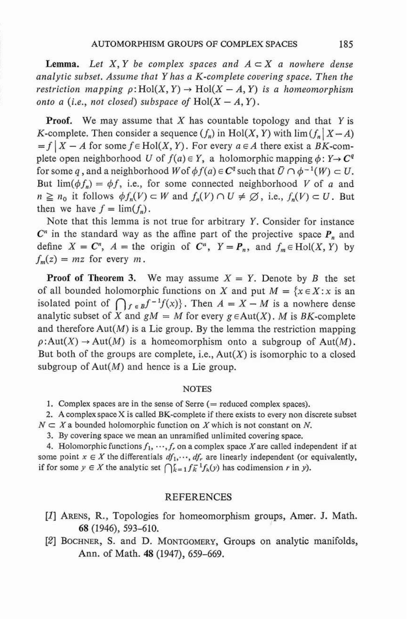**Lemma.** Let X, Y be complex spaces and  $A \subset X$  a nowhere dense analytic subset. Assume that  $Y$  has a K-complete covering space. Then the analytic subset. Assume that Y has a K-complete covering space. Then the<br>restriction mapping  $\rho\colon \text{Hol}(X, Y) \to \text{Hol}(X - A, Y)$  is a homeomorphism restriction mapping  $\rho:\text{Hol}(X, Y) \to \text{Hol}(X - A, Y)$ <br>onto a (i.e., not closed) subspace of  $\text{Hol}(X - A, Y)$ .

**Proof.** We may assume that X has countable topology and that Y is K-complete. Then consider a sequence  $(f_n)$  in Hol(X, Y) with  $\lim (f_n | X - A)$  $= f | X - A$  for some  $f \in Hol(X, Y)$ . For every  $a \in A$  there exist a BK-complete open neighborhood *U* of  $f(a) \in Y$ , a holomorphic mapping  $\phi: Y \rightarrow C^q$ for some q, and a neighborhood W of  $\phi f(a) \in C^q$  such that  $\overline{U} \cap \phi^{-1}(W) \subset U$ . But  $\lim(\phi f_n) = \phi f$ , i.e., for some connected neighborhood V of a and  $n \ge n_0$  it follows  $\phi f_n(V) \subset W$  and  $f_n(V) \cap U \ne \emptyset$ , i.e.,  $f_n(V) \subset U$ . But then we have  $f = \lim_{h \to 0} (f_n)$ .

Note that this lemma is not true for arbitrary Y. Consider for instance  $C<sup>n</sup>$  in the standard way as the affine part of the projective space  $P<sub>n</sub>$  and define  $X = C^n$ ,  $A =$  the origin of  $C^n$ ,  $Y = P_n$ , and  $f_m \in Hol(X, Y)$  by  $f_m(z) = mz$  for every m.

**Proof of Theorem 3.** We may assume  $X = Y$ . Denote by B the set **Proof of Theorem 3.** We may assume  $X = Y$ . Denote by B the set of all bounded holomorphic functions on X and put  $M = \{x \in X : x \text{ is an isolated point of } \bigcap_{f \in B} f^{-1}f(x)\}$ . Then  $A = X - M$  is a nowhere dense analytic subset of X and  $gM = M$  for every  $g \in Aut(X)$ . M is BK-complete and therefore  $Aut(M)$  is a Lie group. By the lemma the restriction mapping  $\rho:Aut(X) \to Aut(M)$  is a homeomorphism onto a subgroup of Aut $(M)$ . But both of the groups are complete, i.e.,  $Aut(X)$  is isomorphic to a closed subgroup of  $Aut(M)$  and hence is a Lie group.

## NOTES

1. Complex spaces are in the sense of Serre  $($  = reduced complex spaces).

2. **A** complex space X is called BK-complete if there exists to every non discrete subset  $N \subset X$  a bounded holomorphic function on X which is not constant on N.

3. By covering space we mean an unramified unlimited covering space.

4. Holomorphic functions  $f_1, \dots, f_r$  on a complex space X are called independent if at some point  $x \in X$  the differentials  $df_1, \dots, df_r$  are linearly independent (or equivalently, if for some  $y \in X$  the analytic set  $\bigcap_{k=1}^{r} f_k^{-1}f_k(y)$  has codimension r in y).

## REFERENCES

- [I] ARENS, R., Topologies for homeomorphism groups, Amer. J. Math. **68** (1946), 593-610.
- **121** BOCHNER, S. and D. MONTGOMERY, Groups on anaIytic manifolds, Ann. of Math. 48 (1947), 659-669.